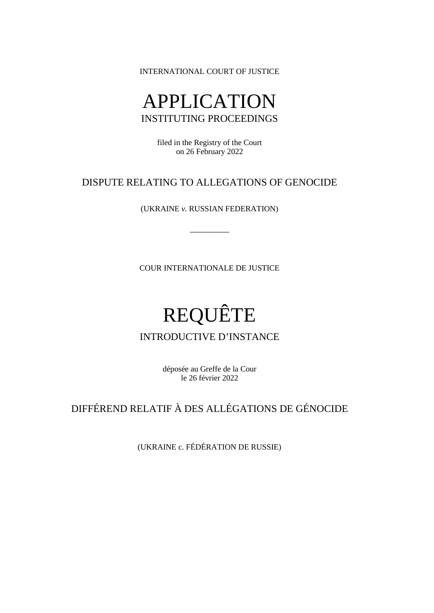INTERNATIONAL COURT OF JUSTICE

# APPLICATION INSTITUTING PROCEEDINGS

filed in the Registry of the Court on 26 February 2022

## DISPUTE RELATING TO ALLEGATIONS OF GENOCIDE

(UKRAINE *v.* RUSSIAN FEDERATION)

\_\_\_\_\_\_\_\_\_

COUR INTERNATIONALE DE JUSTICE

# REQUÊTE

### INTRODUCTIVE D'INSTANCE

déposée au Greffe de la Cour le 26 février 2022

# DIFFÉREND RELATIF À DES ALLÉGATIONS DE GÉNOCIDE

(UKRAINE c. FÉDÉRATION DE RUSSIE)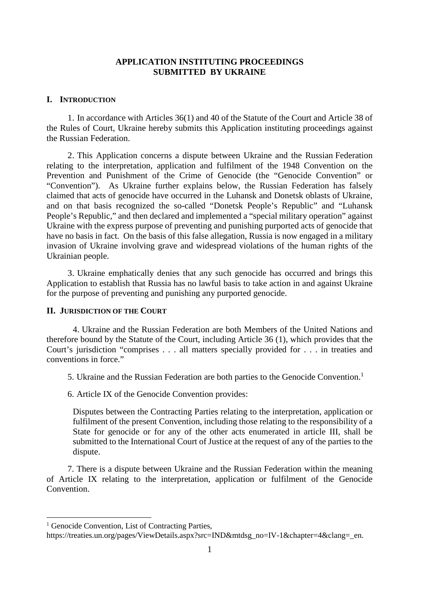#### **APPLICATION INSTITUTING PROCEEDINGS SUBMITTED BY UKRAINE**

#### **I. INTRODUCTION**

1. In accordance with Articles 36(1) and 40 of the Statute of the Court and Article 38 of the Rules of Court, Ukraine hereby submits this Application instituting proceedings against the Russian Federation.

2. This Application concerns a dispute between Ukraine and the Russian Federation relating to the interpretation, application and fulfilment of the 1948 Convention on the Prevention and Punishment of the Crime of Genocide (the "Genocide Convention" or "Convention"). As Ukraine further explains below, the Russian Federation has falsely claimed that acts of genocide have occurred in the Luhansk and Donetsk oblasts of Ukraine, and on that basis recognized the so-called "Donetsk People's Republic" and "Luhansk People's Republic," and then declared and implemented a "special military operation" against Ukraine with the express purpose of preventing and punishing purported acts of genocide that have no basis in fact. On the basis of this false allegation, Russia is now engaged in a military invasion of Ukraine involving grave and widespread violations of the human rights of the Ukrainian people.

3. Ukraine emphatically denies that any such genocide has occurred and brings this Application to establish that Russia has no lawful basis to take action in and against Ukraine for the purpose of preventing and punishing any purported genocide.

#### **II. JURISDICTION OF THE COURT**

4. Ukraine and the Russian Federation are both Members of the United Nations and therefore bound by the Statute of the Court, including Article 36 (1), which provides that the Court's jurisdiction "comprises . . . all matters specially provided for . . . in treaties and conventions in force."

5. Ukraine and the Russian Federation are both parties to the Genocide Convention.<sup>[1](#page-1-0)</sup>

6. Article IX of the Genocide Convention provides:

Disputes between the Contracting Parties relating to the interpretation, application or fulfilment of the present Convention, including those relating to the responsibility of a State for genocide or for any of the other acts enumerated in article III, shall be submitted to the International Court of Justice at the request of any of the parties to the dispute.

7. There is a dispute between Ukraine and the Russian Federation within the meaning of Article IX relating to the interpretation, application or fulfilment of the Genocide **Convention** 

<span id="page-1-0"></span><sup>&</sup>lt;sup>1</sup> Genocide Convention, List of Contracting Parties,

https://treaties.un.org/pages/ViewDetails.aspx?src=IND&mtdsg\_no=IV-1&chapter=4&clang=\_en.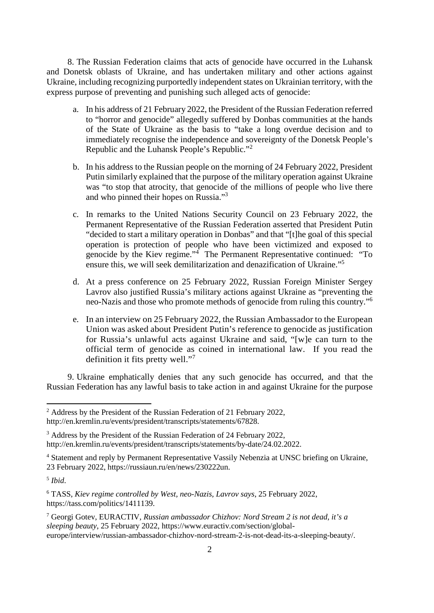8. The Russian Federation claims that acts of genocide have occurred in the Luhansk and Donetsk oblasts of Ukraine, and has undertaken military and other actions against Ukraine, including recognizing purportedly independent states on Ukrainian territory, with the express purpose of preventing and punishing such alleged acts of genocide:

- a. In his address of 21 February 2022, the President of the Russian Federation referred to "horror and genocide" allegedly suffered by Donbas communities at the hands of the State of Ukraine as the basis to "take a long overdue decision and to immediately recognise the independence and sovereignty of the Donetsk People's Republic and the Luhansk People's Republic."[2](#page-2-0)
- b. In his address to the Russian people on the morning of 24 February 2022, President Putin similarly explained that the purpose of the military operation against Ukraine was "to stop that atrocity, that genocide of the millions of people who live there and who pinned their hopes on Russia."[3](#page-2-1)
- c. In remarks to the United Nations Security Council on 23 February 2022, the Permanent Representative of the Russian Federation asserted that President Putin "decided to start a military operation in Donbas" and that "[t]he goal of this special operation is protection of people who have been victimized and exposed to genocide by the Kiev regime."[4](#page-2-2) The Permanent Representative continued: "To ensure this, we will seek demilitarization and denazification of Ukraine."[5](#page-2-3)
- d. At a press conference on 25 February 2022, Russian Foreign Minister Sergey Lavrov also justified Russia's military actions against Ukraine as "preventing the neo-Nazis and those who promote methods of genocide from ruling this country."[6](#page-2-4)
- e. In an interview on 25 February 2022, the Russian Ambassador to the European Union was asked about President Putin's reference to genocide as justification for Russia's unlawful acts against Ukraine and said, "[w]e can turn to the official term of genocide as coined in international law. If you read the definition it fits pretty well."[7](#page-2-5)

9. Ukraine emphatically denies that any such genocide has occurred, and that the Russian Federation has any lawful basis to take action in and against Ukraine for the purpose

<span id="page-2-0"></span><sup>&</sup>lt;sup>2</sup> Address by the President of the Russian Federation of 21 February 2022, http://en.kremlin.ru/events/president/transcripts/statements/67828.

<span id="page-2-1"></span><sup>&</sup>lt;sup>3</sup> Address by the President of the Russian Federation of 24 February 2022, http://en.kremlin.ru/events/president/transcripts/statements/by-date/24.02.2022.

<span id="page-2-2"></span><sup>&</sup>lt;sup>4</sup> Statement and reply by Permanent Representative Vassily Nebenzia at UNSC briefing on Ukraine, 23 February 2022, https://russiaun.ru/en/news/230222un.

<span id="page-2-3"></span><sup>5</sup> *Ibid*.

<span id="page-2-4"></span><sup>6</sup> TASS, *Kiev regime controlled by West, neo-Nazis, Lavrov says*, 25 February 2022, https://tass.com/politics/1411139.

<span id="page-2-5"></span><sup>7</sup> Georgi Gotev, EURACTIV, *Russian ambassador Chizhov: Nord Stream 2 is not dead, it's a sleeping beauty*, 25 February 2022, https://www.euractiv.com/section/globaleurope/interview/russian-ambassador-chizhov-nord-stream-2-is-not-dead-its-a-sleeping-beauty/.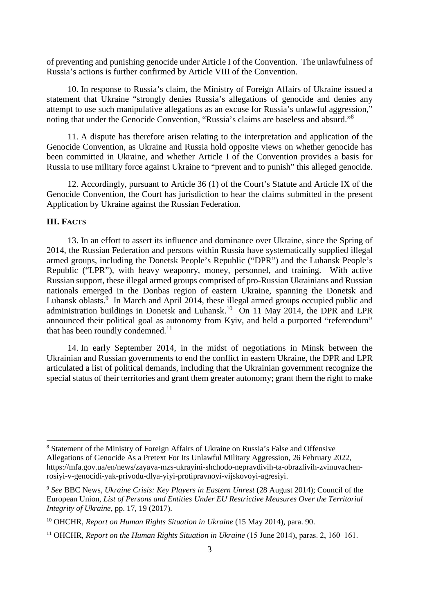of preventing and punishing genocide under Article I of the Convention. The unlawfulness of Russia's actions is further confirmed by Article VIII of the Convention.

10. In response to Russia's claim, the Ministry of Foreign Affairs of Ukraine issued a statement that Ukraine "strongly denies Russia's allegations of genocide and denies any attempt to use such manipulative allegations as an excuse for Russia's unlawful aggression," noting that under the Genocide Convention, "Russia's claims are baseless and absurd."[8](#page-3-0)

11. A dispute has therefore arisen relating to the interpretation and application of the Genocide Convention, as Ukraine and Russia hold opposite views on whether genocide has been committed in Ukraine, and whether Article I of the Convention provides a basis for Russia to use military force against Ukraine to "prevent and to punish" this alleged genocide.

12. Accordingly, pursuant to Article 36 (1) of the Court's Statute and Article IX of the Genocide Convention, the Court has jurisdiction to hear the claims submitted in the present Application by Ukraine against the Russian Federation.

#### **III. FACTS**

13. In an effort to assert its influence and dominance over Ukraine, since the Spring of 2014, the Russian Federation and persons within Russia have systematically supplied illegal armed groups, including the Donetsk People's Republic ("DPR") and the Luhansk People's Republic ("LPR"), with heavy weaponry, money, personnel, and training. With active Russian support, these illegal armed groups comprised of pro-Russian Ukrainians and Russian nationals emerged in the Donbas region of eastern Ukraine, spanning the Donetsk and Luhansk oblasts.<sup>[9](#page-3-1)</sup> In March and April 2014, these illegal armed groups occupied public and administration buildings in Donetsk and Luhansk.<sup>[10](#page-3-2)</sup> On 11 May 2014, the DPR and LPR announced their political goal as autonomy from Kyiv, and held a purported "referendum" that has been roundly condemned.<sup>[11](#page-3-3)</sup>

14. In early September 2014, in the midst of negotiations in Minsk between the Ukrainian and Russian governments to end the conflict in eastern Ukraine, the DPR and LPR articulated a list of political demands, including that the Ukrainian government recognize the special status of their territories and grant them greater autonomy; grant them the right to make

<span id="page-3-0"></span><sup>&</sup>lt;sup>8</sup> Statement of the Ministry of Foreign Affairs of Ukraine on Russia's False and Offensive Allegations of Genocide As a Pretext For Its Unlawful Military Aggression, 26 February 2022, https://mfa.gov.ua/en/news/zayava-mzs-ukrayini-shchodo-nepravdivih-ta-obrazlivih-zvinuvachenrosiyi-v-genocidi-yak-privodu-dlya-yiyi-protipravnoyi-vijskovoyi-agresiyi.

<span id="page-3-1"></span><sup>9</sup> *See* BBC News, *Ukraine Crisis: Key Players in Eastern Unrest* (28 August 2014); Council of the European Union, *List of Persons and Entities Under EU Restrictive Measures Over the Territorial Integrity of Ukraine*, pp. 17, 19 (2017).

<span id="page-3-2"></span><sup>10</sup> OHCHR, *Report on Human Rights Situation in Ukraine* (15 May 2014), para. 90.

<span id="page-3-3"></span><sup>&</sup>lt;sup>11</sup> OHCHR, *Report on the Human Rights Situation in Ukraine* (15 June 2014), paras. 2, 160–161.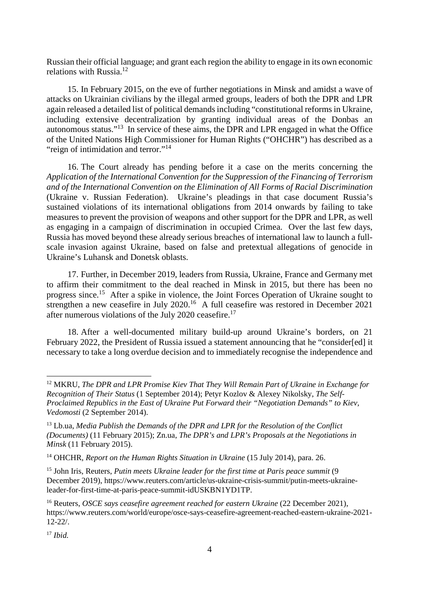Russian their official language; and grant each region the ability to engage in its own economic relations with Russia.[12](#page-4-0)

15. In February 2015, on the eve of further negotiations in Minsk and amidst a wave of attacks on Ukrainian civilians by the illegal armed groups, leaders of both the DPR and LPR again released a detailed list of political demands including "constitutional reforms in Ukraine, including extensive decentralization by granting individual areas of the Donbas an autonomous status."[13](#page-4-1) In service of these aims, the DPR and LPR engaged in what the Office of the United Nations High Commissioner for Human Rights ("OHCHR") has described as a "reign of intimidation and terror."<sup>[14](#page-4-2)</sup>

16. The Court already has pending before it a case on the merits concerning the *Application of the International Convention for the Suppression of the Financing of Terrorism and of the International Convention on the Elimination of All Forms of Racial Discrimination* (Ukraine v. Russian Federation). Ukraine's pleadings in that case document Russia's sustained violations of its international obligations from 2014 onwards by failing to take measures to prevent the provision of weapons and other support for the DPR and LPR, as well as engaging in a campaign of discrimination in occupied Crimea. Over the last few days, Russia has moved beyond these already serious breaches of international law to launch a fullscale invasion against Ukraine, based on false and pretextual allegations of genocide in Ukraine's Luhansk and Donetsk oblasts.

17. Further, in December 2019, leaders from Russia, Ukraine, France and Germany met to affirm their commitment to the deal reached in Minsk in 2015, but there has been no progress since.[15](#page-4-3) After a spike in violence, the Joint Forces Operation of Ukraine sought to strengthen a new ceasefire in July 2020.<sup>[16](#page-4-4)</sup> A full ceasefire was restored in December 2021 after numerous violations of the July 2020 ceasefire.<sup>[17](#page-4-5)</sup>

18. After a well-documented military build-up around Ukraine's borders, on 21 February 2022, the President of Russia issued a statement announcing that he "consider[ed] it necessary to take a long overdue decision and to immediately recognise the independence and

<span id="page-4-5"></span><sup>17</sup> *Ibid.*

<span id="page-4-0"></span><sup>12</sup> MKRU, *The DPR and LPR Promise Kiev That They Will Remain Part of Ukraine in Exchange for Recognition of Their Status* (1 September 2014); Petyr Kozlov & Alexey Nikolsky, *The Self-Proclaimed Republics in the East of Ukraine Put Forward their "Negotiation Demands" to Kiev, Vedomosti* (2 September 2014).

<span id="page-4-1"></span><sup>13</sup> Lb.ua, *Media Publish the Demands of the DPR and LPR for the Resolution of the Conflict (Documents)* (11 February 2015); Zn.ua, *The DPR's and LPR's Proposals at the Negotiations in Minsk* (11 February 2015).

<span id="page-4-2"></span><sup>&</sup>lt;sup>14</sup> OHCHR, *Report on the Human Rights Situation in Ukraine* (15 July 2014), para. 26.

<span id="page-4-3"></span><sup>15</sup> John Iris, Reuters, *Putin meets Ukraine leader for the first time at Paris peace summit* (9 December 2019), https://www.reuters.com/article/us-ukraine-crisis-summit/putin-meets-ukraineleader-for-first-time-at-paris-peace-summit-idUSKBN1YD1TP.

<span id="page-4-4"></span><sup>16</sup> Reuters, *OSCE says ceasefire agreement reached for eastern Ukraine* (22 December 2021), https://www.reuters.com/world/europe/osce-says-ceasefire-agreement-reached-eastern-ukraine-2021- 12-22/.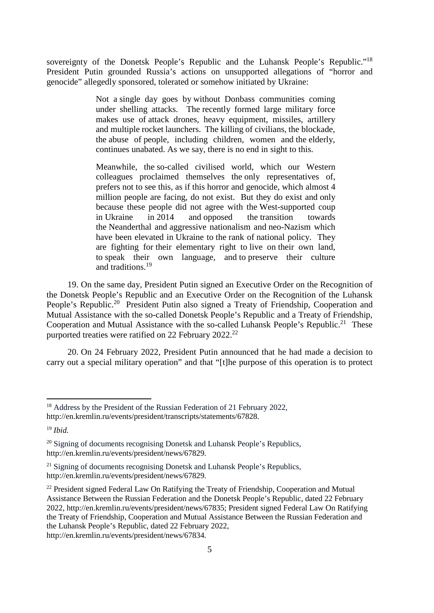sovereignty of the Donetsk People's Republic and the Luhansk People's Republic."<sup>[18](#page-5-0)</sup> President Putin grounded Russia's actions on unsupported allegations of "horror and genocide" allegedly sponsored, tolerated or somehow initiated by Ukraine:

> Not a single day goes by without Donbass communities coming under shelling attacks. The recently formed large military force makes use of attack drones, heavy equipment, missiles, artillery and multiple rocket launchers. The killing of civilians, the blockade, the abuse of people, including children, women and the elderly, continues unabated. As we say, there is no end in sight to this.

> Meanwhile, the so-called civilised world, which our Western colleagues proclaimed themselves the only representatives of, prefers not to see this, as if this horror and genocide, which almost 4 million people are facing, do not exist. But they do exist and only because these people did not agree with the West-supported coup in Ukraine in 2014 and opposed the transition towards the Neanderthal and aggressive nationalism and neo-Nazism which have been elevated in Ukraine to the rank of national policy. They are fighting for their elementary right to live on their own land, to speak their own language, and to preserve their culture and traditions.<sup>[19](#page-5-1)</sup>

19. On the same day, President Putin signed an Executive Order on the Recognition of the Donetsk People's Republic and an Executive Order on the Recognition of the Luhansk People's Republic.<sup>[20](#page-5-2)</sup> President Putin also signed a Treaty of Friendship, Cooperation and Mutual Assistance with the so-called Donetsk People's Republic and a Treaty of Friendship, Cooperation and Mutual Assistance with the so-called Luhansk People's Republic.<sup>[21](#page-5-3)</sup> These purported treaties were ratified on [22](#page-5-4) February 2022.<sup>22</sup>

20. On 24 February 2022, President Putin announced that he had made a decision to carry out a special military operation" and that "[t]he purpose of this operation is to protect

http://en.kremlin.ru/events/president/news/67834.

<span id="page-5-0"></span><sup>&</sup>lt;sup>18</sup> Address by the President of the Russian Federation of 21 February 2022, http://en.kremlin.ru/events/president/transcripts/statements/67828.

<span id="page-5-1"></span><sup>19</sup> *Ibid.*

<span id="page-5-2"></span> $20$  Signing of documents recognising Donetsk and Luhansk People's Republics, http://en.kremlin.ru/events/president/news/67829.

<span id="page-5-3"></span><sup>&</sup>lt;sup>21</sup> Signing of documents recognising Donetsk and Luhansk People's Republics, http://en.kremlin.ru/events/president/news/67829.

<span id="page-5-4"></span> $22$  President signed Federal Law On Ratifying the Treaty of Friendship, Cooperation and Mutual Assistance Between the Russian Federation and the Donetsk People's Republic, dated 22 February 2022, http://en.kremlin.ru/events/president/news/67835; President signed Federal Law On Ratifying the Treaty of Friendship, Cooperation and Mutual Assistance Between the Russian Federation and the Luhansk People's Republic, dated 22 February 2022,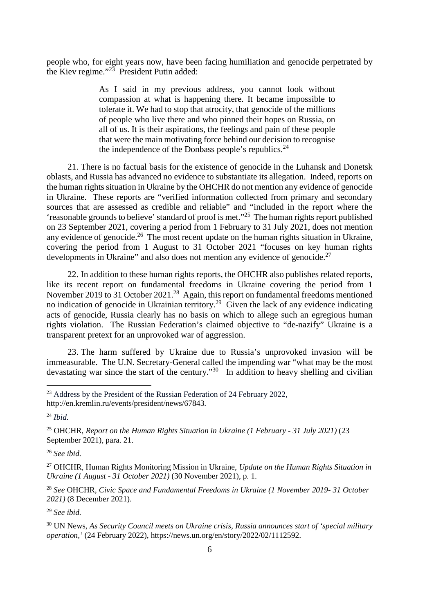people who, for eight years now, have been facing humiliation and genocide perpetrated by the Kiev regime."[23](#page-6-0) President Putin added:

> As I said in my previous address, you cannot look without compassion at what is happening there. It became impossible to tolerate it. We had to stop that atrocity, that genocide of the millions of people who live there and who pinned their hopes on Russia, on all of us. It is their aspirations, the feelings and pain of these people that were the main motivating force behind our decision to recognise the independence of the Donbass people's republics. $24$

21. There is no factual basis for the existence of genocide in the Luhansk and Donetsk oblasts, and Russia has advanced no evidence to substantiate its allegation. Indeed, reports on the human rights situation in Ukraine by the OHCHR do not mention any evidence of genocide in Ukraine. These reports are "verified information collected from primary and secondary sources that are assessed as credible and reliable" and "included in the report where the 'reasonable grounds to believe' standard of proof is met."[25](#page-6-2) The human rights report published on 23 September 2021, covering a period from 1 February to 31 July 2021, does not mention any evidence of genocide.<sup>[26](#page-6-3)</sup> The most recent update on the human rights situation in Ukraine, covering the period from 1 August to 31 October 2021 "focuses on key human rights developments in Ukraine" and also does not mention any evidence of genocide.<sup>[27](#page-6-4)</sup>

22. In addition to these human rights reports, the OHCHR also publishes related reports, like its recent report on fundamental freedoms in Ukraine covering the period from 1 November 2019 to 31 October 2021.<sup>[28](#page-6-5)</sup> Again, this report on fundamental freedoms mentioned no indication of genocide in Ukrainian territory.<sup>[29](#page-6-6)</sup> Given the lack of any evidence indicating acts of genocide, Russia clearly has no basis on which to allege such an egregious human rights violation. The Russian Federation's claimed objective to "de-nazify" Ukraine is a transparent pretext for an unprovoked war of aggression.

23. The harm suffered by Ukraine due to Russia's unprovoked invasion will be immeasurable. The U.N. Secretary-General called the impending war "what may be the most devastating war since the start of the century."<sup>[30](#page-6-7)</sup> In addition to heavy shelling and civilian

<span id="page-6-3"></span><sup>26</sup> *See ibid.*

<span id="page-6-4"></span><sup>27</sup> OHCHR, Human Rights Monitoring Mission in Ukraine, *Update on the Human Rights Situation in Ukraine (1 August - 31 October 2021)* (30 November 2021), p. 1.

<span id="page-6-5"></span><sup>28</sup> *See* OHCHR, *Civic Space and Fundamental Freedoms in Ukraine (1 November 2019- 31 October 2021)* (8 December 2021).

<span id="page-6-6"></span><sup>29</sup> *See ibid.*

<span id="page-6-0"></span> $^{23}$  Address by the President of the Russian Federation of 24 February 2022, http://en.kremlin.ru/events/president/news/67843.

<span id="page-6-1"></span><sup>24</sup> *Ibid.*

<span id="page-6-2"></span><sup>25</sup> OHCHR, *Report on the Human Rights Situation in Ukraine (1 February - 31 July 2021)* (23 September 2021), para. 21.

<span id="page-6-7"></span><sup>30</sup> UN News, *As Security Council meets on Ukraine crisis, Russia announces start of 'special military operation,'* (24 February 2022), https://news.un.org/en/story/2022/02/1112592.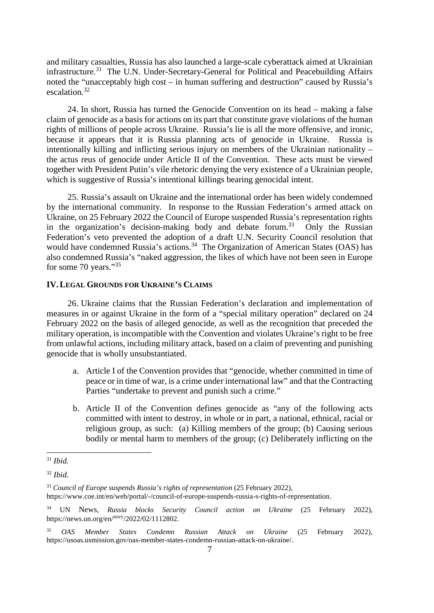and military casualties, Russia has also launched a large-scale cyberattack aimed at Ukrainian infrastructure.<sup>[31](#page-7-0)</sup> The U.N. Under-Secretary-General for Political and Peacebuilding Affairs noted the "unacceptably high cost – in human suffering and destruction" caused by Russia's escalation.<sup>[32](#page-7-1)</sup>

24. In short, Russia has turned the Genocide Convention on its head – making a false claim of genocide as a basis for actions on its part that constitute grave violations of the human rights of millions of people across Ukraine. Russia's lie is all the more offensive, and ironic, because it appears that it is Russia planning acts of genocide in Ukraine. Russia is intentionally killing and inflicting serious injury on members of the Ukrainian nationality – the actus reus of genocide under Article II of the Convention. These acts must be viewed together with President Putin's vile rhetoric denying the very existence of a Ukrainian people, which is suggestive of Russia's intentional killings bearing genocidal intent.

25. Russia's assault on Ukraine and the international order has been widely condemned by the international community. In response to the Russian Federation's armed attack on Ukraine, on 25 February 2022 the Council of Europe suspended Russia's representation rights in the organization's decision-making body and debate forum.<sup>[33](#page-7-2)</sup> Only the Russian Federation's veto prevented the adoption of a draft U.N. Security Council resolution that would have condemned Russia's actions.<sup>[34](#page-7-3)</sup> The Organization of American States (OAS) has also condemned Russia's "naked aggression, the likes of which have not been seen in Europe for some 70 years."<sup>[35](#page-7-4)</sup>

#### **IV.LEGAL GROUNDS FOR UKRAINE'S CLAIMS**

26. Ukraine claims that the Russian Federation's declaration and implementation of measures in or against Ukraine in the form of a "special military operation" declared on 24 February 2022 on the basis of alleged genocide, as well as the recognition that preceded the military operation, is incompatible with the Convention and violates Ukraine's right to be free from unlawful actions, including military attack, based on a claim of preventing and punishing genocide that is wholly unsubstantiated.

- a. Article I of the Convention provides that "genocide, whether committed in time of peace or in time of war, is a crime under international law" and that the Contracting Parties "undertake to prevent and punish such a crime."
- b. Article II of the Convention defines genocide as "any of the following acts committed with intent to destroy, in whole or in part, a national, ethnical, racial or religious group, as such: (a) Killing members of the group; (b) Causing serious bodily or mental harm to members of the group; (c) Deliberately inflicting on the

<span id="page-7-0"></span><sup>31</sup> *Ibid.*

<span id="page-7-1"></span><sup>32</sup> *Ibid.*

<span id="page-7-2"></span><sup>&</sup>lt;sup>33</sup> Council of Europe suspends Russia's rights of representation (25 February 2022), https://www.coe.int/en/web/portal/-/council-of-europe-suspends-russia-s-rights-of-representation.

<span id="page-7-3"></span><sup>34</sup> UN News, *Russia blocks Security Council action on Ukraine* (25 February 2022), https://news.un.org/en/story/2022/02/1112802.

<span id="page-7-4"></span><sup>35</sup> *OAS Member States Condemn Russian Attack on Ukraine* (25 February 2022), https://usoas.usmission.gov/oas-member-states-condemn-russian-attack-on-ukraine/.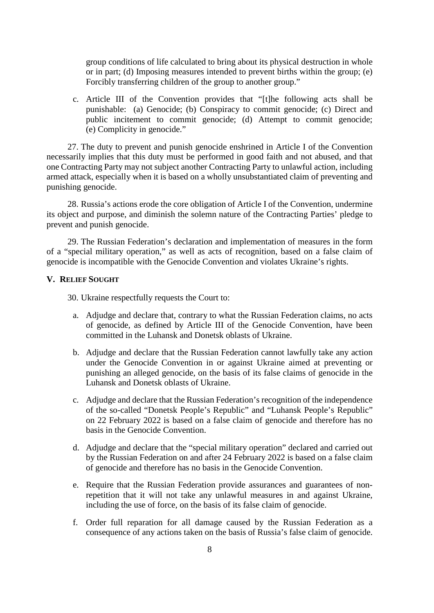group conditions of life calculated to bring about its physical destruction in whole or in part; (d) Imposing measures intended to prevent births within the group; (e) Forcibly transferring children of the group to another group."

c. Article III of the Convention provides that "[t]he following acts shall be punishable: (a) Genocide; (b) Conspiracy to commit genocide; (c) Direct and public incitement to commit genocide; (d) Attempt to commit genocide; (e) Complicity in genocide."

27. The duty to prevent and punish genocide enshrined in Article I of the Convention necessarily implies that this duty must be performed in good faith and not abused, and that one Contracting Party may not subject another Contracting Party to unlawful action, including armed attack, especially when it is based on a wholly unsubstantiated claim of preventing and punishing genocide.

28. Russia's actions erode the core obligation of Article I of the Convention, undermine its object and purpose, and diminish the solemn nature of the Contracting Parties' pledge to prevent and punish genocide.

29. The Russian Federation's declaration and implementation of measures in the form of a "special military operation," as well as acts of recognition, based on a false claim of genocide is incompatible with the Genocide Convention and violates Ukraine's rights.

#### **V. RELIEF SOUGHT**

30. Ukraine respectfully requests the Court to:

- a. Adjudge and declare that, contrary to what the Russian Federation claims, no acts of genocide, as defined by Article III of the Genocide Convention, have been committed in the Luhansk and Donetsk oblasts of Ukraine.
- b. Adjudge and declare that the Russian Federation cannot lawfully take any action under the Genocide Convention in or against Ukraine aimed at preventing or punishing an alleged genocide, on the basis of its false claims of genocide in the Luhansk and Donetsk oblasts of Ukraine.
- c. Adjudge and declare that the Russian Federation's recognition of the independence of the so-called "Donetsk People's Republic" and "Luhansk People's Republic" on 22 February 2022 is based on a false claim of genocide and therefore has no basis in the Genocide Convention.
- d. Adjudge and declare that the "special military operation" declared and carried out by the Russian Federation on and after 24 February 2022 is based on a false claim of genocide and therefore has no basis in the Genocide Convention.
- e. Require that the Russian Federation provide assurances and guarantees of nonrepetition that it will not take any unlawful measures in and against Ukraine, including the use of force, on the basis of its false claim of genocide.
- f. Order full reparation for all damage caused by the Russian Federation as a consequence of any actions taken on the basis of Russia's false claim of genocide.